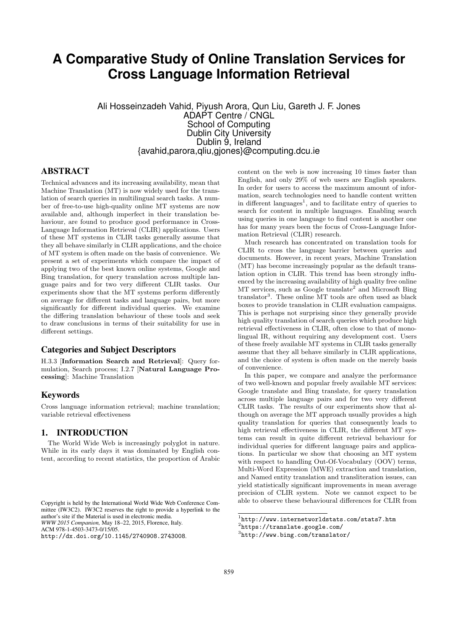# **A Comparative Study of Online Translation Services for Cross Language Information Retrieval**

Ali Hosseinzadeh Vahid, Piyush Arora, Qun Liu, Gareth J. F. Jones ADAPT Centre / CNGL School of Computing Dublin City University Dublin 9, Ireland {avahid,parora,qliu,gjones}@computing.dcu.ie

# ABSTRACT

Technical advances and its increasing availability, mean that Machine Translation (MT) is now widely used for the translation of search queries in multilingual search tasks. A number of free-to-use high-quality online MT systems are now available and, although imperfect in their translation behaviour, are found to produce good performance in Cross-Language Information Retrieval (CLIR) applications. Users of these MT systems in CLIR tasks generally assume that they all behave similarly in CLIR applications, and the choice of MT system is often made on the basis of convenience. We present a set of experiments which compare the impact of applying two of the best known online systems, Google and Bing translation, for query translation across multiple language pairs and for two very different CLIR tasks. Our experiments show that the MT systems perform differently on average for different tasks and language pairs, but more significantly for different individual queries. We examine the differing translation behaviour of these tools and seek to draw conclusions in terms of their suitability for use in different settings.

### Categories and Subject Descriptors

H.3.3 [Information Search and Retrieval]: Query formulation, Search process; I.2.7 [Natural Language Processing]: Machine Translation

## Keywords

Cross language information retrieval; machine translation; variable retrieval effectiveness

## 1. INTRODUCTION

The World Wide Web is increasingly polyglot in nature. While in its early days it was dominated by English content, according to recent statistics, the proportion of Arabic

ACM 978-1-4503-3473-0/15/05.

http://dx.doi.org/10.1145/2740908.2743008.

content on the web is now increasing 10 times faster than English, and only 29% of web users are English speakers. In order for users to access the maximum amount of information, search technologies need to handle content written in different languages<sup>1</sup>, and to facilitate entry of queries to search for content in multiple languages. Enabling search using queries in one language to find content is another one has for many years been the focus of Cross-Language Information Retrieval (CLIR) research.

Much research has concentrated on translation tools for CLIR to cross the language barrier between queries and documents. However, in recent years, Machine Translation (MT) has become increasingly popular as the default translation option in CLIR. This trend has been strongly influenced by the increasing availability of high quality free online MT services, such as Google translate<sup>2</sup> and Microsoft Bing translator<sup>3</sup>. These online MT tools are often used as black boxes to provide translation in CLIR evaluation campaigns. This is perhaps not surprising since they generally provide high quality translation of search queries which produce high retrieval effectiveness in CLIR, often close to that of monolingual IR, without requiring any development cost. Users of these freely available MT systems in CLIR tasks generally assume that they all behave similarly in CLIR applications, and the choice of system is often made on the merely basis of convenience.

In this paper, we compare and analyze the performance of two well-known and popular freely available MT services: Google translate and Bing translate, for query translation across multiple language pairs and for two very different CLIR tasks. The results of our experiments show that although on average the MT approach usually provides a high quality translation for queries that consequently leads to high retrieval effectiveness in CLIR, the different MT systems can result in quite different retrieval behaviour for individual queries for different language pairs and applications. In particular we show that choosing an MT system with respect to handling Out-Of-Vocabulary (OOV) terms, Multi-Word Expression (MWE) extraction and translation, and Named entity translation and transliteration issues, can yield statistically significant improvements in mean average precision of CLIR system. Note we cannot expect to be able to observe these behavioural differences for CLIR from

Copyright is held by the International World Wide Web Conference Committee (IW3C2). IW3C2 reserves the right to provide a hyperlink to the author's site if the Material is used in electronic media.

*WWW 2015 Companion,* May 18–22, 2015, Florence, Italy.

<sup>1</sup> http://www.internetworldstats.com/stats7.htm

<sup>2</sup> https://translate.google.com/

<sup>3</sup> http://www.bing.com/translator/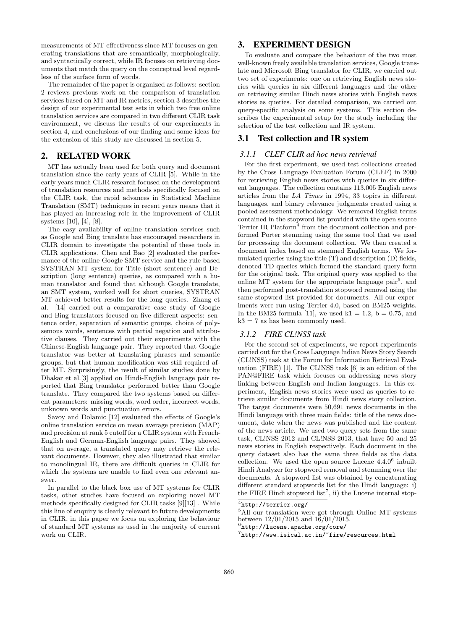measurements of MT effectiveness since MT focuses on generating translations that are semantically, morphologically, and syntactically correct, while IR focuses on retrieving documents that match the query on the conceptual level regardless of the surface form of words.

The remainder of the paper is organized as follows: section 2 reviews previous work on the comparison of translation services based on MT and IR metrics, section 3 describes the design of our experimental test sets in which two free online translation services are compared in two different CLIR task environment, we discuss the results of our experiments in section 4, and conclusions of our finding and some ideas for the extension of this study are discussed in section 5.

## 2. RELATED WORK

MT has actually been used for both query and document translation since the early years of CLIR [5]. While in the early years much CLIR research focused on the development of translation resources and methods specifically focused on the CLIR task, the rapid advances in Statistical Machine Translation (SMT) techniques in recent years means that it has played an increasing role in the improvement of CLIR systems [10], [4], [8].

The easy availability of online translation services such as Google and Bing translate has encouraged researchers in CLIR domain to investigate the potential of these tools in CLIR applications. Chen and Bao [2] evaluated the performance of the online Google SMT service and the rule-based SYSTRAN MT system for Title (short sentence) and Description (long sentence) queries, as compared with a human translator and found that although Google translate, an SMT system, worked well for short queries, SYSTRAN MT achieved better results for the long queries. Zhang et al. [14] carried out a comparative case study of Google and Bing translators focused on five different aspects: sentence order, separation of semantic groups, choice of polysemous words, sentences with partial negation and attributive clauses. They carried out their experiments with the Chinese-English language pair. They reported that Google translator was better at translating phrases and semantic groups, but that human modification was still required after MT. Surprisingly, the result of similar studies done by Dhakar et al.[3] applied on Hindi-English language pair reported that Bing translator performed better than Google translate. They compared the two systems based on different parameters: missing words, word order, incorrect words, unknown words and punctuation errors.

Savoy and Dolamic [12] evaluated the effects of Google's online translation service on mean average precision (MAP) and precision at rank 5 cutoff for a CLIR system with French-English and German-English language pairs. They showed that on average, a translated query may retrieve the relevant documents. However, they also illustrated that similar to monolingual IR, there are difficult queries in CLIR for which the systems are unable to find even one relevant answer.

In parallel to the black box use of MT systems for CLIR tasks, other studies have focused on exploring novel MT methods specifically designed for CLIR tasks [9][13] . While this line of enquiry is clearly relevant to future developments in CLIR, in this paper we focus on exploring the behaviour of standard MT systems as used in the majority of current work on CLIR.

# 3. EXPERIMENT DESIGN

To evaluate and compare the behaviour of the two most well-known freely available translation services, Google translate and Microsoft Bing translator for CLIR, we carried out two set of experiments: one on retrieving English news stories with queries in six different languages and the other on retrieving similar Hindi news stories with English news stories as queries. For detailed comparison, we carried out query-specific analysis on some systems. This section describes the experimental setup for the study including the selection of the test collection and IR system.

## 3.1 Test collection and IR system

#### *3.1.1 CLEF CLIR ad hoc news retrieval*

For the first experiment, we used test collections created by the Cross Language Evaluation Forum (CLEF) in 2000 for retrieving English news stories with queries in six different languages. The collection contains 113,005 English news articles from the LA Times in 1994, 33 topics in different languages, and binary relevance judgments created using a pooled assessment methodology. We removed English terms contained in the stopword list provided with the open source Terrier IR Platform<sup>4</sup> from the document collection and performed Porter stemming using the same tool that we used for processing the document collection. We then created a document index based on stemmed English terms. We formulated queries using the title (T) and description (D) fields, denoted TD queries which formed the standard query form for the original task. The original query was applied to the online MT system for the appropriate language  $\text{pair}^5$ , and then performed post-translation stopword removal using the same stopword list provided for documents. All our experiments were run using Terrier 4.0, based on BM25 weights. In the BM25 formula [11], we used  $k1 = 1.2$ ,  $b = 0.75$ , and  $k3 = 7$  as has been commonly used.

## *3.1.2 FIRE CL!NSS task*

For the second set of experiments, we report experiments carried out for the Cross Language !ndian News Story Search (CL!NSS) task at the Forum for Information Retrieval Evaluation (FIRE) [1]. The CL!NSS task [6] is an edition of the PAN@FIRE task which focuses on addressing news story linking between English and Indian languages. In this experiment, English news stories were used as queries to retrieve similar documents from Hindi news story collection. The target documents were 50,691 news documents in the Hindi language with three main fields: title of the news document, date when the news was published and the content of the news article. We used two query sets from the same task, CL!NSS 2012 and CL!NSS 2013, that have 50 and 25 news stories in English respectively. Each document in the query dataset also has the same three fields as the data collection. We used the open source Lucene  $4.4.0<sup>6</sup>$  inbuilt Hindi Analyzer for stopword removal and stemming over the documents. A stopword list was obtained by concatenating different standard stopwords list for the Hindi language: i) the FIRE Hindi stopword  $list^7$ , ii) the Lucene internal stop-

<sup>4</sup> http://terrier.org/

<sup>5</sup>All our translation were got through Online MT systems between 12/01/2015 and 16/01/2015.

<sup>6</sup> http://lucene.apache.org/core/

<sup>7</sup> http://www.isical.ac.in/~fire/resources.html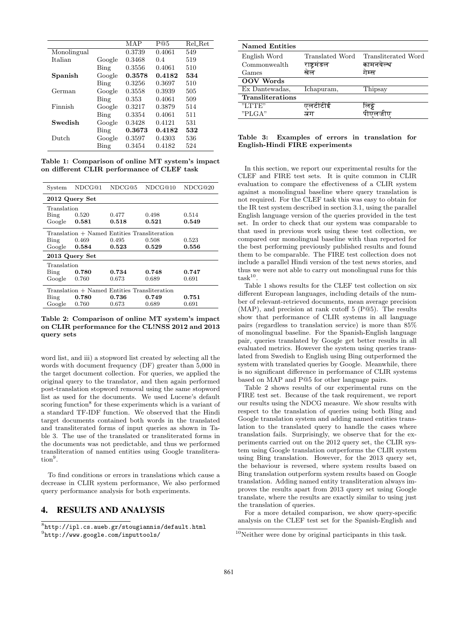|             |        | MAP    | P@5    | Rel_Ret |
|-------------|--------|--------|--------|---------|
| Monolingual |        | 0.3739 | 0.4061 | 549     |
| Italian     | Google | 0.3468 | 0.4    | 519     |
|             | Bing   | 0.3556 | 0.4061 | 510     |
| Spanish     | Google | 0.3578 | 0.4182 | 534     |
|             | Bing   | 0.3256 | 0.3697 | 510     |
| German      | Google | 0.3558 | 0.3939 | 505     |
|             | Bing   | 0.353  | 0.4061 | 509     |
| Finnish     | Google | 0.3217 | 0.3879 | 514     |
|             | Bing   | 0.3354 | 0.4061 | 511     |
| Swedish     | Google | 0.3428 | 0.4121 | 531     |
|             | Bing   | 0.3673 | 0.4182 | 532     |
| Dutch       | Google | 0.3597 | 0.4303 | 536     |
|             | Bing   | 0.3454 | 0.4182 | 524     |

Table 1: Comparison of online MT system's impact on different CLIR performance of CLEF task

| System                                       | NDCG@1                                       | NDCG@5 | NDCG@10 | NDCG@20 |  |  |  |
|----------------------------------------------|----------------------------------------------|--------|---------|---------|--|--|--|
|                                              | 2012 Query Set                               |        |         |         |  |  |  |
| Translation                                  |                                              |        |         |         |  |  |  |
| Bing                                         | 0.520                                        | 0.477  | 0.498   | 0.514   |  |  |  |
| Google $0.581$                               |                                              | 0.518  | 0.521   | 0.549   |  |  |  |
|                                              | Translation + Named Entities Transliteration |        |         |         |  |  |  |
| Bing                                         | 0.469                                        | 0.495  | 0.508   | 0.523   |  |  |  |
|                                              | Google $0.584$                               | 0.523  | 0.529   | 0.556   |  |  |  |
| 2013 Query Set                               |                                              |        |         |         |  |  |  |
| Translation                                  |                                              |        |         |         |  |  |  |
| Bing                                         | 0.780                                        | 0.734  | 0.748   | 0.747   |  |  |  |
| Google                                       | 0.760                                        | 0.673  | 0.689   | 0.691   |  |  |  |
| Translation + Named Entities Transliteration |                                              |        |         |         |  |  |  |
| Bing                                         | 0.780                                        | 0.736  | 0.749   | 0.751   |  |  |  |
| Google                                       | 0.760                                        | 0.673  | 0.689   | 0.691   |  |  |  |

Table 2: Comparison of online MT system's impact on CLIR performance for the CL!NSS 2012 and 2013 query sets

word list, and iii) a stopword list created by selecting all the words with document frequency (DF) greater than 5,000 in the target document collection. For queries, we applied the original query to the translator, and then again performed post-translation stopword removal using the same stopword list as used for the documents. We used Lucene's default scoring function<sup>8</sup> for these experiments which is a variant of a standard TF-IDF function. We observed that the Hindi target documents contained both words in the translated and transliterated forms of input queries as shown in Table 3. The use of the translated or transliterated forms in the documents was not predictable, and thus we performed transliteration of named entities using Google translitera- $\text{tion}^9$ .

To find conditions or errors in translations which cause a decrease in CLIR system performance, We also performed query performance analysis for both experiments.

## 4. RESULTS AND ANALYSIS

 ${}^{8}$ http://ipl.cs.aueb.gr/stougiannis/default.html 9 http://www.google.com/inputtools/

| <b>Named Entities</b>   |                 |                     |
|-------------------------|-----------------|---------------------|
| English Word            | Translated Word | Transliterated Word |
| Commonwealth            | राष्ट्रमंडल     | कामनवेल्थ           |
| Games                   |                 | ाम्स                |
| <b>OOV</b> Words        |                 |                     |
| Ex Dantewadas.          | Ichapuram,      | Thipsay             |
| <b>Transliterations</b> |                 |                     |
| "I.TTE"                 | एलटीटीई         | ालझ                 |
| "PLGA"                  | ञ्जग            |                     |
|                         |                 |                     |

#### Table 3: Examples of errors in translation for English-Hindi FIRE experiments

In this section, we report our experimental results for the CLEF and FIRE test sets. It is quite common in CLIR evaluation to compare the effectiveness of a CLIR system against a monolingual baseline where query translation is not required. For the CLEF task this was easy to obtain for the IR test system described in section 3.1, using the parallel English language version of the queries provided in the test set. In order to check that our system was comparable to that used in previous work using these test collection, we compared our monolingual baseline with than reported for the best performing previously published results and found them to be comparable. The FIRE test collection does not include a parallel Hindi version of the test news stories, and thus we were not able to carry out monolingual runs for this  $task^{10}$ .

Table 1 shows results for the CLEF test collection on six different European languages, including details of the number of relevant-retrieved documents, mean average precision (MAP), and precision at rank cutoff 5 (P@5). The results show that performance of CLIR systems in all language pairs (regardless to translation service) is more than 85% of monolingual baseline. For the Spanish-English language pair, queries translated by Google get better results in all evaluated metrics. However the system using queries translated from Swedish to English using Bing outperformed the system with translated queries by Google. Meanwhile, there is no significant difference in performance of CLIR systems based on MAP and P@5 for other language pairs.

Table 2 shows results of our experimental runs on the FIRE test set. Because of the task requirement, we report our results using the NDCG measure. We show results with respect to the translation of queries using both Bing and Google translation system and adding named entities translation to the translated query to handle the cases where translation fails. Surprisingly, we observe that for the experiments carried out on the 2012 query set, the CLIR system using Google translation outperforms the CLIR system using Bing translation. However, for the 2013 query set, the behaviour is reversed, where system results based on Bing translation outperform system results based on Google translation. Adding named entity transliteration always improves the results apart from 2013 query set using Google translate, where the results are exactly similar to using just the translation of queries.

For a more detailed comparison, we show query-specific analysis on the CLEF test set for the Spanish-English and

<sup>10</sup>Neither were done by original participants in this task.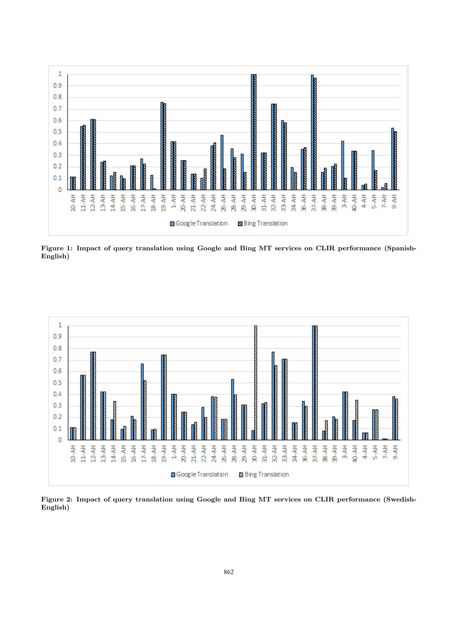

Figure 1: Impact of query translation using Google and Bing MT services on CLIR performance (Spanish-English)



Figure 2: Impact of query translation using Google and Bing MT services on CLIR performance (Swedish-English)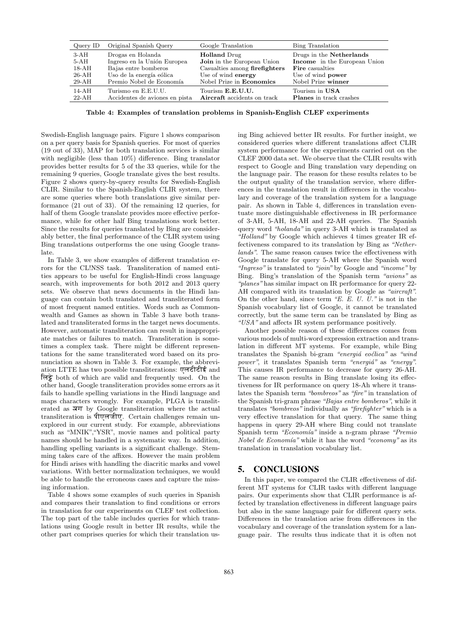| Query ID | Original Spanish Query         | Google Translation                 | Bing Translation               |
|----------|--------------------------------|------------------------------------|--------------------------------|
| $3-AH$   | Drogas en Holanda              | <b>Holland</b> Drug                | Drugs in the Netherlands       |
| $5-AH$   | Ingreso en la Unión Europea    | <b>Join</b> in the European Union  | Income in the European Union   |
| 18-AH    | Bajas entre bomberos           | Casualties among firefighters      | <b>Fire</b> casualties         |
| 26-AH    | Uso de la energía eólica       | Use of wind energy                 | Use of wind <b>power</b>       |
| $29-AH$  | Premio Nobel de Economía       | Nobel Prize in <b>Economics</b>    | Nobel Prize winner             |
| 14-AH    | Turismo en E.E.U.U.            | Tourism <b>E.E.U.U.</b>            | Tourism in USA                 |
| $22-AH$  | Accidentes de aviones en pista | <b>Aircraft</b> accidents on track | <b>Planes</b> in track crashes |

Table 4: Examples of translation problems in Spanish-English CLEF experiments

Swedish-English language pairs. Figure 1 shows comparison on a per query basis for Spanish queries. For most of queries (19 out of 33), MAP for both translation services is similar with negligible (less than 10%) difference. Bing translator provides better results for 5 of the 33 queries, while for the remaining 9 queries, Google translate gives the best results. Figure 2 shows query-by-query results for Swedish-English CLIR. Similar to the Spanish-English CLIR system, there are some queries where both translations give similar performance (21 out of 33). Of the remaining 12 queries, for half of them Google translate provides more effective performance, while for other half Bing translations work better. Since the results for queries translated by Bing are considerably better, the final performance of the CLIR system using Bing translations outperforms the one using Google translate.

In Table 3, we show examples of different translation errors for the CL!NSS task. Transliteration of named entities appears to be useful for English-Hindi cross language search, with improvements for both 2012 and 2013 query sets. We observe that news documents in the Hindi language can contain both translated and transliterated form of most frequent named entities. Words such as Commonwealth and Games as shown in Table 3 have both translated and transliterated forms in the target news documents. However, automatic transliteration can result in inappropriate matches or failures to match. Transliteration is sometimes a complex task. There might be different representations for the same transliterated word based on its pronunciation as shown in Table 3. For example, the abbreviation LTTE has two possible transliterations: एलटीटीई and लिट्टे both of which are valid and frequently used. On the other hand, Google transliteration provides some errors as it fails to handle spelling variations in the Hindi language and maps characters wrongly. For example, PLGA is transliterated as सग by Google transliteration where the actual transliteration is पीएलजीए. Certain challenges remain unexplored in our current study. For example, abbreviations such as "MNIK","YSR", movie names and political party names should be handled in a systematic way. In addition, handling spelling variants is a significant challenge. Stemming takes care of the affixes. However the main problem for Hindi arises with handling the diacritic marks and vowel variations. With better normalization techniques, we would be able to handle the erroneous cases and capture the missing information.

Table 4 shows some examples of such queries in Spanish and compares their translation to find conditions or errors in translation for our experiments on CLEF test collection. The top part of the table includes queries for which translations using Google result in better IR results, while the other part comprises queries for which their translation using Bing achieved better IR results. For further insight, we considered queries where different translations affect CLIR system performance for the experiments carried out on the CLEF 2000 data set. We observe that the CLIR results with respect to Google and Bing translation vary depending on the language pair. The reason for these results relates to be the output quality of the translation service, where differences in the translation result in differences in the vocabulary and coverage of the translation system for a language pair. As shown in Table 4, differences in translation eventuate more distinguishable effectiveness in IR performance of 3-AH, 5-AH, 18-AH and 22-AH queries. The Spanish query word "holanda" in query 3-AH which is translated as "Holland" by Google which achieves 4 times greater IR effectiveness compared to its translation by Bing as "Netherlands". The same reason causes twice the effectiveness with Google translate for query 5-AH where the Spanish word "Ingreso" is translated to "join" by Google and "income" by Bing. Bing's translation of the Spanish term "avions" as "planes" has similar impact on IR performance for query 22- AH compared with its translation by Google as "aircraft". On the other hand, since term  $E.E. U. U.$ " is not in the Spanish vocabulary list of Google, it cannot be translated correctly, but the same term can be translated by Bing as "USA" and affects IR system performance positively.

Another possible reason of these differences comes from various models of multi-word expression extraction and translation in different MT systems. For example, while Bing translates the Spanish bi-gram "energiá eoclica" as "wind power", it translates Spanish term "energia" as "energy". This causes IR performance to decrease for query 26-AH. The same reason results in Bing translate losing its effectiveness for IR performance on query 18-Ah where it translates the Spanish term "bombreos" as "fire" in translation of the Spanish tri-gram phrase "Bajas entre bomberos", while it translates "bombreos" individually as "firefighter" which is a very effective translation for that query. The same thing happens in query 29-AH where Bing could not translate Spanish term "Economía" inside a n-gram phrase "Premio *Nobel de Economía*" while it has the word "economy" as its translation in translation vocabulary list.

# 5. CONCLUSIONS

In this paper, we compared the CLIR effectiveness of different MT systems for CLIR tasks with different language pairs. Our experiments show that CLIR performance is affected by translation effectiveness in different language pairs but also in the same language pair for different query sets. Differences in the translation arise from differences in the vocabulary and coverage of the translation system for a language pair. The results thus indicate that it is often not